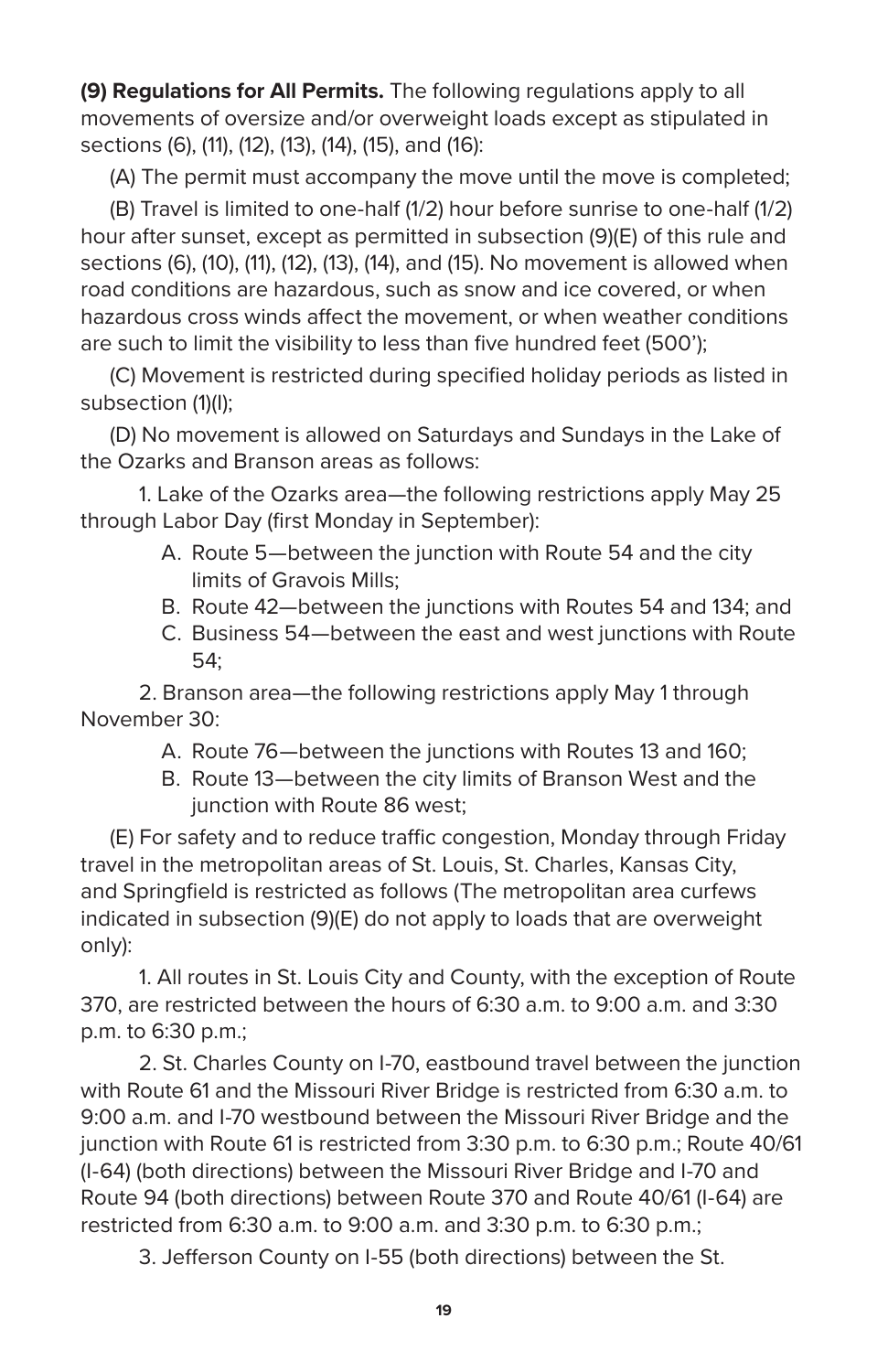**(9) Regulations for All Permits.** The following regulations apply to all movements of oversize and/or overweight loads except as stipulated in sections (6), (11), (12), (13), (14), (15), and (16):

(A) The permit must accompany the move until the move is completed;

(B) Travel is limited to one-half (1/2) hour before sunrise to one-half (1/2) hour after sunset, except as permitted in subsection (9)(E) of this rule and sections (6), (10), (11), (12), (13), (14), and (15). No movement is allowed when road conditions are hazardous, such as snow and ice covered, or when hazardous cross winds affect the movement, or when weather conditions are such to limit the visibility to less than five hundred feet (500');

(C) Movement is restricted during specified holiday periods as listed in subsection (1)(I);

(D) No movement is allowed on Saturdays and Sundays in the Lake of the Ozarks and Branson areas as follows:

1. Lake of the Ozarks area—the following restrictions apply May 25 through Labor Day (first Monday in September):

- A. Route 5—between the junction with Route 54 and the city limits of Gravois Mills;
- B. Route 42—between the junctions with Routes 54 and 134; and
- C. Business 54—between the east and west junctions with Route 54;

2. Branson area—the following restrictions apply May 1 through November 30:

- A. Route 76—between the junctions with Routes 13 and 160;
- B. Route 13—between the city limits of Branson West and the junction with Route 86 west;

(E) For safety and to reduce traffic congestion, Monday through Friday travel in the metropolitan areas of St. Louis, St. Charles, Kansas City, and Springfield is restricted as follows (The metropolitan area curfews indicated in subsection (9)(E) do not apply to loads that are overweight only):

1. All routes in St. Louis City and County, with the exception of Route 370, are restricted between the hours of 6:30 a.m. to 9:00 a.m. and 3:30 p.m. to 6:30 p.m.;

2. St. Charles County on I-70, eastbound travel between the junction with Route 61 and the Missouri River Bridge is restricted from 6:30 a.m. to 9:00 a.m. and I-70 westbound between the Missouri River Bridge and the junction with Route 61 is restricted from 3:30 p.m. to 6:30 p.m.; Route 40/61 (I-64) (both directions) between the Missouri River Bridge and I-70 and Route 94 (both directions) between Route 370 and Route 40/61 (I-64) are restricted from 6:30 a.m. to 9:00 a.m. and 3:30 p.m. to 6:30 p.m.;

3. Jefferson County on I-55 (both directions) between the St.